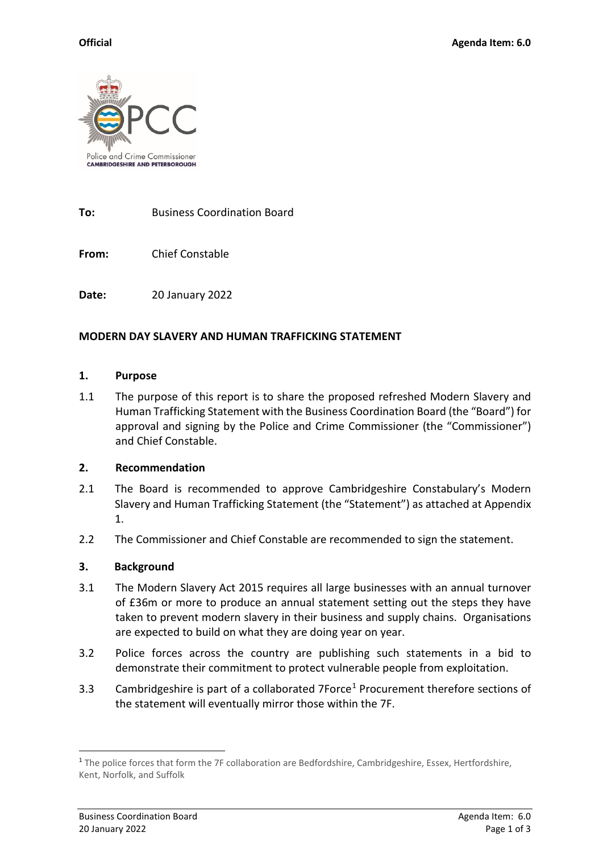

**To:** Business Coordination Board

**From:** Chief Constable

**Date:** 20 January 2022

#### **MODERN DAY SLAVERY AND HUMAN TRAFFICKING STATEMENT**

#### **1. Purpose**

1.1 The purpose of this report is to share the proposed refreshed Modern Slavery and Human Trafficking Statement with the Business Coordination Board (the "Board") for approval and signing by the Police and Crime Commissioner (the "Commissioner") and Chief Constable.

#### **2. Recommendation**

- 2.1 The Board is recommended to approve Cambridgeshire Constabulary's Modern Slavery and Human Trafficking Statement (the "Statement") as attached at Appendix 1.
- 2.2 The Commissioner and Chief Constable are recommended to sign the statement.

## **3. Background**

- 3.1 The Modern Slavery Act 2015 requires all large businesses with an annual turnover of £36m or more to produce an annual statement setting out the steps they have taken to prevent modern slavery in their business and supply chains. Organisations are expected to build on what they are doing year on year.
- 3.2 Police forces across the country are publishing such statements in a bid to demonstrate their commitment to protect vulnerable people from exploitation.
- 3.3 Cambridgeshire is part of a collaborated 7Force<sup>[1](#page-0-0)</sup> Procurement therefore sections of the statement will eventually mirror those within the 7F.

<span id="page-0-0"></span><sup>&</sup>lt;sup>1</sup> The police forces that form the 7F collaboration are Bedfordshire, Cambridgeshire, Essex, Hertfordshire, Kent, Norfolk, and Suffolk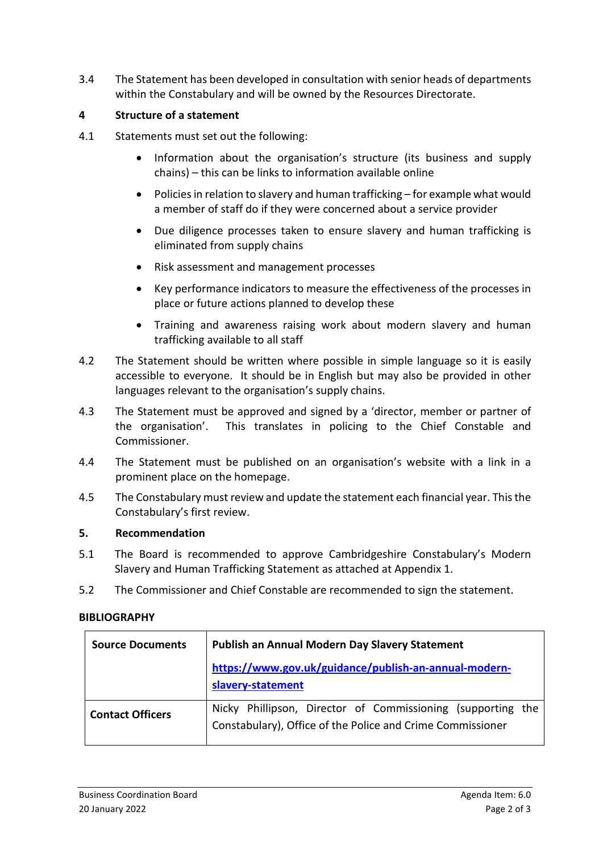3.4 The Statement has been developed in consultation with senior heads of departments within the Constabulary and will be owned by the Resources Directorate.

# **4 Structure of a statement**

- 4.1 Statements must set out the following:
	- Information about the organisation's structure (its business and supply chains) – this can be links to information available online
	- Policies in relation to slavery and human trafficking for example what would a member of staff do if they were concerned about a service provider
	- Due diligence processes taken to ensure slavery and human trafficking is eliminated from supply chains
	- Risk assessment and management processes
	- Key performance indicators to measure the effectiveness of the processes in place or future actions planned to develop these
	- Training and awareness raising work about modern slavery and human trafficking available to all staff
- 4.2 The Statement should be written where possible in simple language so it is easily accessible to everyone. It should be in English but may also be provided in other languages relevant to the organisation's supply chains.
- 4.3 The Statement must be approved and signed by a 'director, member or partner of the organisation'. This translates in policing to the Chief Constable and Commissioner.
- 4.4 The Statement must be published on an organisation's website with a link in a prominent place on the homepage.
- 4.5 The Constabulary must review and update the statement each financial year. This the Constabulary's first review.

## **5. Recommendation**

- 5.1 The Board is recommended to approve Cambridgeshire Constabulary's Modern Slavery and Human Trafficking Statement as attached at Appendix 1.
- 5.2 The Commissioner and Chief Constable are recommended to sign the statement.

## **BIBLIOGRAPHY**

| <b>Source Documents</b> | Publish an Annual Modern Day Slavery Statement                                                                            |
|-------------------------|---------------------------------------------------------------------------------------------------------------------------|
|                         | https://www.gov.uk/guidance/publish-an-annual-modern-<br>slavery-statement                                                |
| <b>Contact Officers</b> | Nicky Phillipson, Director of Commissioning (supporting the<br>Constabulary), Office of the Police and Crime Commissioner |